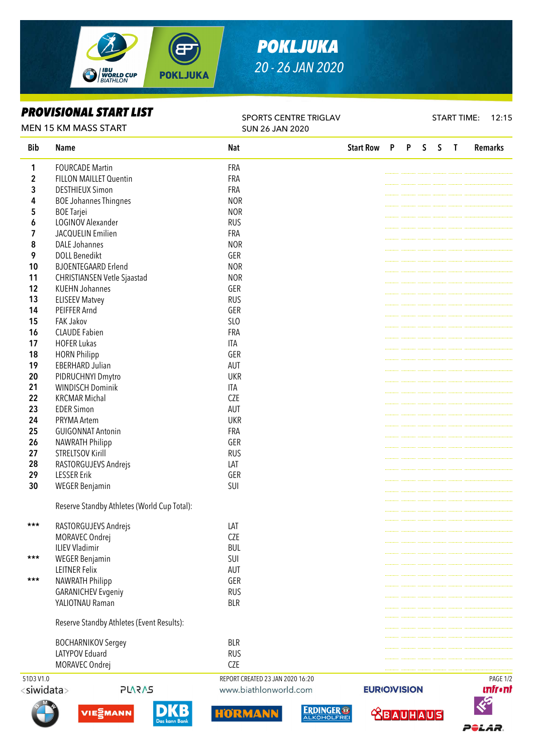



## *PROVISIONAL START LIST*

SPORTS CENTRE TRIGLAV SUN 26 JAN 2020

START TIME: 12:15

IST.

POLAR.

 **<u>CBAUHAUS</u>** 

| <b>MEN 15 KM MASS START</b> |                                             | <b>SUN 26 JAN 2020</b>           |                    |              |              |   |              |                |                              |
|-----------------------------|---------------------------------------------|----------------------------------|--------------------|--------------|--------------|---|--------------|----------------|------------------------------|
| <b>Bib</b>                  | <b>Name</b>                                 | <b>Nat</b>                       | <b>Start Row</b>   | $\mathsf{P}$ | $\mathsf{P}$ | S | $\mathsf{S}$ | $\blacksquare$ | <b>Remarks</b>               |
| 1                           | <b>FOURCADE Martin</b>                      | FRA                              |                    |              |              |   |              |                |                              |
| $\overline{\mathbf{c}}$     | <b>FILLON MAILLET Quentin</b>               | FRA                              |                    |              |              |   |              |                |                              |
| 3                           | <b>DESTHIEUX Simon</b>                      | <b>FRA</b>                       |                    |              |              |   |              |                |                              |
| 4                           | <b>BOE Johannes Thingnes</b>                | <b>NOR</b>                       |                    |              |              |   |              |                |                              |
| 5                           | <b>BOE Tarjei</b>                           | <b>NOR</b>                       |                    |              |              |   |              |                |                              |
| 6                           | LOGINOV Alexander                           | <b>RUS</b>                       |                    |              |              |   |              |                |                              |
| 7                           | JACQUELIN Emilien                           | FRA                              |                    |              |              |   |              |                |                              |
| 8                           | <b>DALE Johannes</b>                        | <b>NOR</b>                       |                    |              |              |   |              |                |                              |
| 9                           | <b>DOLL Benedikt</b>                        | GER                              |                    |              |              |   |              |                |                              |
| 10                          | <b>BJOENTEGAARD Erlend</b>                  | <b>NOR</b>                       |                    |              |              |   |              |                |                              |
| 11                          | <b>CHRISTIANSEN Vetle Sjaastad</b>          | <b>NOR</b>                       |                    |              |              |   |              |                |                              |
| 12                          | <b>KUEHN Johannes</b>                       | GER                              |                    |              |              |   |              |                |                              |
| 13                          | <b>ELISEEV Matvey</b>                       | <b>RUS</b>                       |                    |              |              |   |              |                |                              |
| 14                          | PEIFFER Arnd                                | GER                              |                    |              |              |   |              |                |                              |
| 15                          | <b>FAK Jakov</b>                            | SLO                              |                    |              |              |   |              |                |                              |
| 16                          | <b>CLAUDE Fabien</b>                        | FRA                              |                    |              |              |   |              |                |                              |
| 17                          | <b>HOFER Lukas</b>                          | <b>ITA</b>                       |                    |              |              |   |              |                |                              |
| 18                          | <b>HORN Philipp</b>                         | GER                              |                    |              |              |   |              |                |                              |
| 19                          | <b>EBERHARD Julian</b>                      | AUT                              |                    |              |              |   |              |                |                              |
| 20                          | PIDRUCHNYI Dmytro                           | <b>UKR</b>                       |                    |              |              |   |              |                |                              |
| 21                          | <b>WINDISCH Dominik</b>                     | <b>ITA</b>                       |                    |              |              |   |              |                |                              |
| 22                          | <b>KRCMAR Michal</b>                        | <b>CZE</b>                       |                    |              |              |   |              |                |                              |
| 23                          | <b>EDER Simon</b>                           | AUT                              |                    |              |              |   |              |                |                              |
| 24                          | PRYMA Artem                                 | <b>UKR</b>                       |                    |              |              |   |              |                |                              |
| 25                          | <b>GUIGONNAT Antonin</b>                    | <b>FRA</b>                       |                    |              |              |   |              |                |                              |
| 26                          | <b>NAWRATH Philipp</b>                      | GER                              |                    |              |              |   |              |                |                              |
| 27                          | <b>STRELTSOV Kirill</b>                     | <b>RUS</b>                       |                    |              |              |   |              |                |                              |
| 28                          | RASTORGUJEVS Andrejs                        | LAT                              |                    |              |              |   |              |                |                              |
| 29                          | <b>LESSER Erik</b>                          | GER                              |                    |              |              |   |              |                |                              |
|                             |                                             | SUI                              |                    |              |              |   |              |                |                              |
| 30                          | <b>WEGER Benjamin</b>                       |                                  |                    |              |              |   |              |                |                              |
|                             | Reserve Standby Athletes (World Cup Total): |                                  |                    |              |              |   |              |                |                              |
|                             |                                             |                                  |                    |              |              |   |              |                |                              |
| ***                         | RASTORGUJEVS Andrejs                        | LAT                              |                    |              |              |   |              |                |                              |
|                             | MORAVEC Ondrej                              | <b>CZE</b>                       |                    |              |              |   |              |                |                              |
|                             | <b>ILIEV Vladimir</b>                       | <b>BUL</b>                       |                    |              |              |   |              |                |                              |
| ***                         | <b>WEGER Benjamin</b>                       | SUI                              |                    |              |              |   |              |                |                              |
|                             | <b>LEITNER Felix</b>                        | <b>AUT</b>                       |                    |              |              |   |              |                |                              |
| $***$                       | <b>NAWRATH Philipp</b>                      | GER                              |                    |              |              |   |              |                |                              |
|                             | <b>GARANICHEV Evgeniy</b>                   | <b>RUS</b>                       |                    |              |              |   |              |                |                              |
|                             | YALIOTNAU Raman                             | <b>BLR</b>                       |                    |              |              |   |              |                |                              |
|                             |                                             |                                  |                    |              |              |   |              |                |                              |
|                             | Reserve Standby Athletes (Event Results):   |                                  |                    |              |              |   |              |                |                              |
|                             |                                             |                                  |                    |              |              |   |              |                |                              |
|                             | <b>BOCHARNIKOV Sergey</b>                   | <b>BLR</b>                       |                    |              |              |   |              |                |                              |
|                             | LATYPOV Eduard                              | <b>RUS</b>                       |                    |              |              |   |              |                |                              |
|                             | MORAVEC Ondrej                              | CZE                              |                    |              |              |   |              |                |                              |
| 51D3 V1.0                   |                                             | REPORT CREATED 23 JAN 2020 16:20 |                    |              |              |   |              |                | PAGE 1/2                     |
| <siwidata></siwidata>       | <b>PLARAS</b>                               | www.biathlonworld.com            | <b>EURIOVISION</b> |              |              |   |              |                | <i><b><u>Infront</u></b></i> |
|                             |                                             |                                  |                    |              |              |   |              |                | <b>KS</b>                    |







**ERDINGER<sup>®</sup>**